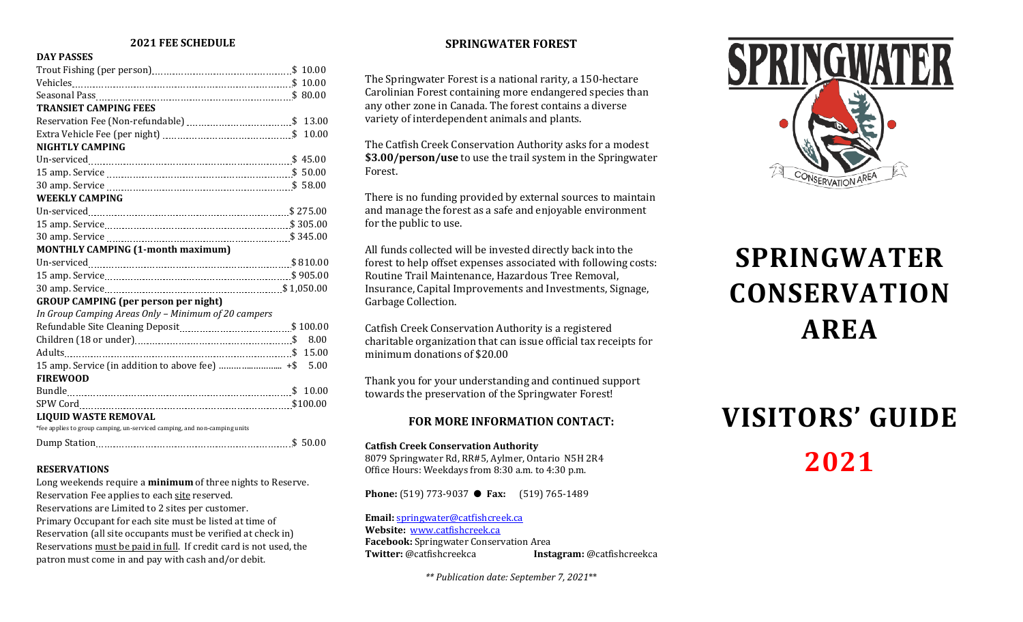#### **2021 FEE SCHEDULE**

#### **DAY PASSES**

| <b>TRANSIET CAMPING FEES</b>                                              |      |
|---------------------------------------------------------------------------|------|
|                                                                           |      |
|                                                                           |      |
| <b>NIGHTLY CAMPING</b>                                                    |      |
|                                                                           |      |
|                                                                           |      |
|                                                                           |      |
| <b>WEEKLY CAMPING</b>                                                     |      |
|                                                                           |      |
|                                                                           |      |
|                                                                           |      |
| <b>MONTHLY CAMPING (1-month maximum)</b>                                  |      |
|                                                                           |      |
|                                                                           |      |
|                                                                           |      |
| <b>GROUP CAMPING (per person per night)</b>                               |      |
| In Group Camping Areas Only - Minimum of 20 campers                       |      |
|                                                                           |      |
|                                                                           | 8.00 |
|                                                                           |      |
|                                                                           |      |
| <b>FIREWOOD</b>                                                           |      |
|                                                                           |      |
|                                                                           |      |
| <b>LIQUID WASTE REMOVAL</b>                                               |      |
| *fee applies to group camping, un-serviced camping, and non-camping units |      |
|                                                                           |      |

#### **RESERVATIONS**

Long weekends require a **minimum** of three nights to Reserve. Reservation Fee applies to each site reserved. Reservations are Limited to 2 sites per customer. Primary Occupant for each site must be listed at time of Reservation (all site occupants must be verified at check in) Reservations must be paid in full. If credit card is not used, the patron must come in and pay with cash and/or debit.

### **SPRINGWATER FOREST**

The Springwater Forest is a national rarity, a 150-hectare Carolinian Forest containing more endangered species than any other zone in Canada. The forest contains a diverse variety of interdependent animals and plants.

The Catfish Creek Conservation Authority asks for a modest **\$3.00/person/use** to use the trail system in the Springwater Forest.

There is no funding provided by external sources to maintain and manage the forest as a safe and enjoyable environment for the public to use.

All funds collected will be invested directly back into the forest to help offset expenses associated with following costs: Routine Trail Maintenance, Hazardous Tree Removal, Insurance, Capital Improvements and Investments, Signage, Garbage Collection.

Catfish Creek Conservation Authority is a registered charitable organization that can issue official tax receipts for minimum donations of \$20.00

Thank you for your understanding and continued support towards the preservation of the Springwater Forest!

### **FOR MORE INFORMATION CONTACT:**

#### **Catfish Creek Conservation Authority**

8079 Springwater Rd, RR#5, Aylmer, Ontario N5H 2R4 Office Hours: Weekdays from 8:30 a.m. to 4:30 p.m.

**Phone:** (519) 773-9037 ● **Fax:** (519) 765-1489

**Email:** [springwater@catfishcreek.ca](mailto:springwater@catfishcreek.ca) **Website:** [www.catfishcreek.ca](http://www.execulink.com/%7Eccca) **Facebook:** Springwater Conservation Area<br> **Twitter:** @catfishcreekca **Inst Twitter:** @catfishcreekca **Instagram:** @catfishcreekca

*\*\* Publication date: September 7, 2021*\*\*



# **SPRINGWATER CONSERVATION AREA**

# **VISITORS' GUIDE 2021**